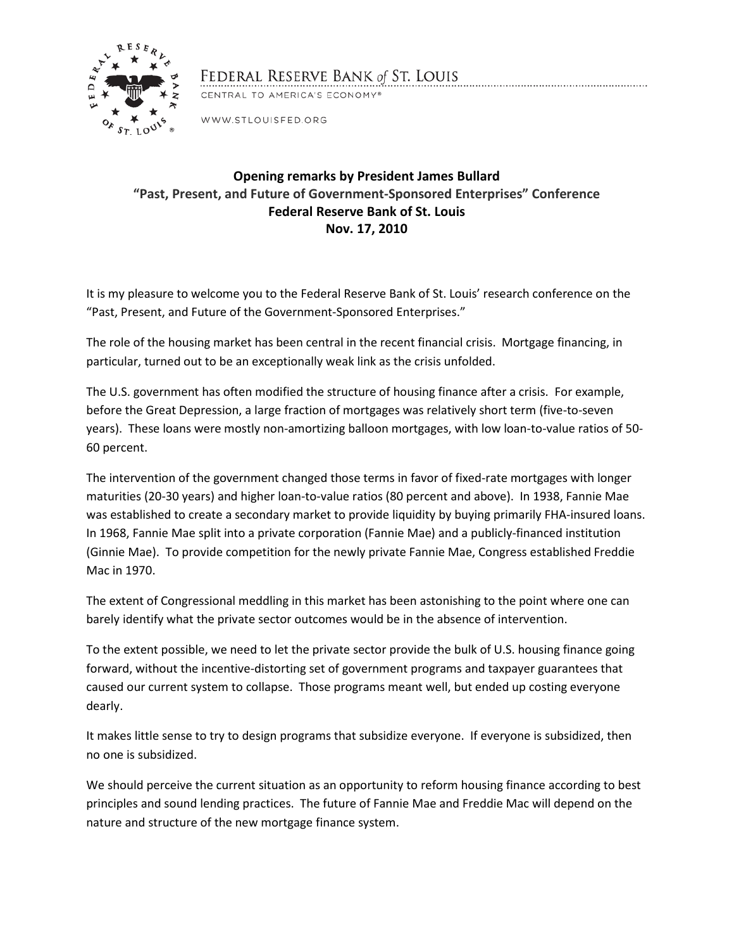

## FEDERAL RESERVE BANK of ST. LOUIS

CENTRAL TO AMERICA'S ECONOMY®

WWW.STLOUISFED.ORG

## **Opening remarks by President James Bullard "Past, Present, and Future of Government‐Sponsored Enterprises" Conference Federal Reserve Bank of St. Louis Nov. 17, 2010**

It is my pleasure to welcome you to the Federal Reserve Bank of St. Louis' research conference on the "Past, Present, and Future of the Government-Sponsored Enterprises."

The role of the housing market has been central in the recent financial crisis. Mortgage financing, in particular, turned out to be an exceptionally weak link as the crisis unfolded.

The U.S. government has often modified the structure of housing finance after a crisis. For example, before the Great Depression, a large fraction of mortgages was relatively short term (five-to-seven years). These loans were mostly non-amortizing balloon mortgages, with low loan-to-value ratios of 50- 60 percent.

The intervention of the government changed those terms in favor of fixed-rate mortgages with longer maturities (20-30 years) and higher loan-to-value ratios (80 percent and above). In 1938, Fannie Mae was established to create a secondary market to provide liquidity by buying primarily FHA-insured loans. In 1968, Fannie Mae split into a private corporation (Fannie Mae) and a publicly-financed institution (Ginnie Mae). To provide competition for the newly private Fannie Mae, Congress established Freddie Mac in 1970.

The extent of Congressional meddling in this market has been astonishing to the point where one can barely identify what the private sector outcomes would be in the absence of intervention.

To the extent possible, we need to let the private sector provide the bulk of U.S. housing finance going forward, without the incentive-distorting set of government programs and taxpayer guarantees that caused our current system to collapse. Those programs meant well, but ended up costing everyone dearly.

It makes little sense to try to design programs that subsidize everyone. If everyone is subsidized, then no one is subsidized.

We should perceive the current situation as an opportunity to reform housing finance according to best principles and sound lending practices. The future of Fannie Mae and Freddie Mac will depend on the nature and structure of the new mortgage finance system.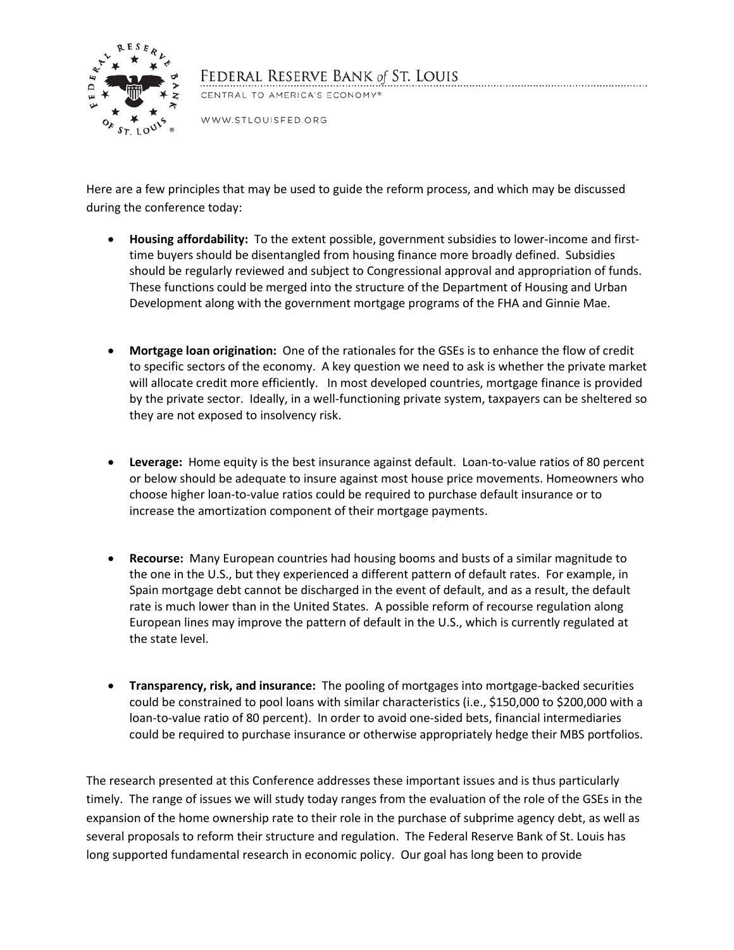

## FEDERAL RESERVE BANK of ST. LOUIS

CENTRAL TO AMERICA'S ECONOMY®

WWW.STLOUISFED.ORG

Here are a few principles that may be used to guide the reform process, and which may be discussed during the conference today:

- **Housing affordability:** To the extent possible, government subsidies to lower-income and firsttime buyers should be disentangled from housing finance more broadly defined. Subsidies should be regularly reviewed and subject to Congressional approval and appropriation of funds. These functions could be merged into the structure of the Department of Housing and Urban Development along with the government mortgage programs of the FHA and Ginnie Mae.
- **Mortgage loan origination:** One of the rationales for the GSEs is to enhance the flow of credit to specific sectors of the economy. A key question we need to ask is whether the private market will allocate credit more efficiently. In most developed countries, mortgage finance is provided by the private sector. Ideally, in a well-functioning private system, taxpayers can be sheltered so they are not exposed to insolvency risk.
- **Leverage:** Home equity is the best insurance against default. Loan-to-value ratios of 80 percent or below should be adequate to insure against most house price movements. Homeowners who choose higher loan-to-value ratios could be required to purchase default insurance or to increase the amortization component of their mortgage payments.
- **Recourse:** Many European countries had housing booms and busts of a similar magnitude to the one in the U.S., but they experienced a different pattern of default rates. For example, in Spain mortgage debt cannot be discharged in the event of default, and as a result, the default rate is much lower than in the United States. A possible reform of recourse regulation along European lines may improve the pattern of default in the U.S., which is currently regulated at the state level.
- **Transparency, risk, and insurance:** The pooling of mortgages into mortgage-backed securities could be constrained to pool loans with similar characteristics (i.e., \$150,000 to \$200,000 with a loan-to-value ratio of 80 percent). In order to avoid one-sided bets, financial intermediaries could be required to purchase insurance or otherwise appropriately hedge their MBS portfolios.

The research presented at this Conference addresses these important issues and is thus particularly timely. The range of issues we will study today ranges from the evaluation of the role of the GSEs in the expansion of the home ownership rate to their role in the purchase of subprime agency debt, as well as several proposals to reform their structure and regulation. The Federal Reserve Bank of St. Louis has long supported fundamental research in economic policy. Our goal has long been to provide